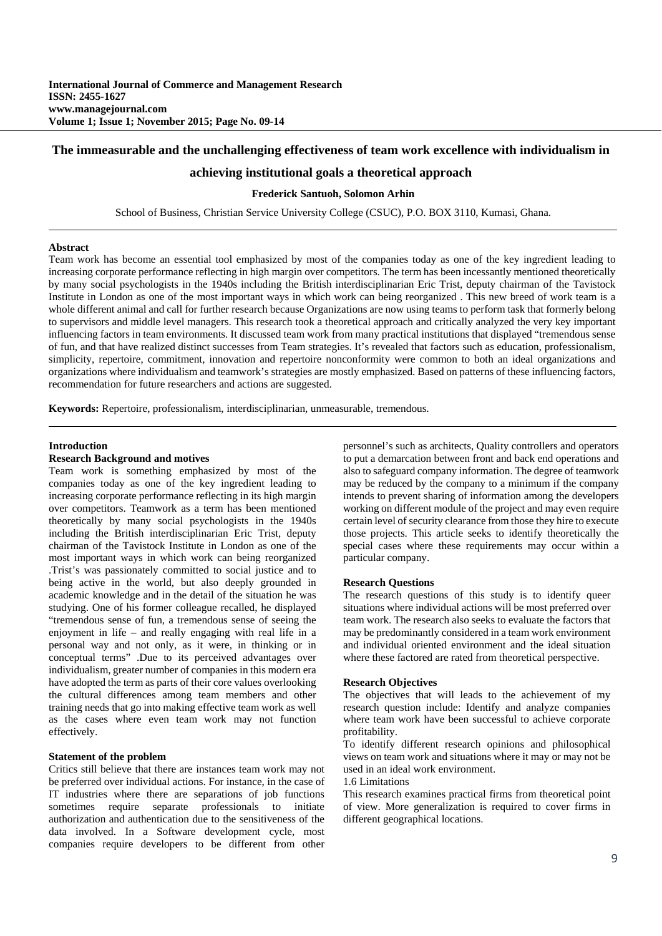# **The immeasurable and the unchallenging effectiveness of team work excellence with individualism in**

# **achieving institutional goals a theoretical approach**

# **Frederick Santuoh, Solomon Arhin**

School of Business, Christian Service University College (CSUC), P.O. BOX 3110, Kumasi, Ghana.

#### **Abstract**

Team work has become an essential tool emphasized by most of the companies today as one of the key ingredient leading to increasing corporate performance reflecting in high margin over competitors. The term has been incessantly mentioned theoretically by many social psychologists in the 1940s including the British interdisciplinarian Eric Trist, deputy chairman of the Tavistock Institute in London as one of the most important ways in which work can being reorganized . This new breed of work team is a whole different animal and call for further research because Organizations are now using teams to perform task that formerly belong to supervisors and middle level managers. This research took a theoretical approach and critically analyzed the very key important influencing factors in team environments. It discussed team work from many practical institutions that displayed "tremendous sense of fun, and that have realized distinct successes from Team strategies. It's revealed that factors such as education, professionalism, simplicity, repertoire, commitment, innovation and repertoire nonconformity were common to both an ideal organizations and organizations where individualism and teamwork's strategies are mostly emphasized. Based on patterns of these influencing factors, recommendation for future researchers and actions are suggested.

**Keywords:** Repertoire, professionalism, interdisciplinarian, unmeasurable, tremendous.

#### **Introduction**

## **Research Background and motives**

Team work is something emphasized by most of the companies today as one of the key ingredient leading to increasing corporate performance reflecting in its high margin over competitors. Teamwork as a term has been mentioned theoretically by many social psychologists in the 1940s including the British interdisciplinarian Eric Trist, deputy chairman of the Tavistock Institute in London as one of the most important ways in which work can being reorganized .Trist's was passionately committed to social justice and to being active in the world, but also deeply grounded in academic knowledge and in the detail of the situation he was studying. One of his former colleague recalled, he displayed "tremendous sense of fun, a tremendous sense of seeing the enjoyment in life – and really engaging with real life in a personal way and not only, as it were, in thinking or in conceptual terms" .Due to its perceived advantages over individualism, greater number of companies in this modern era have adopted the term as parts of their core values overlooking the cultural differences among team members and other training needs that go into making effective team work as well as the cases where even team work may not function effectively.

# **Statement of the problem**

Critics still believe that there are instances team work may not be preferred over individual actions. For instance, in the case of IT industries where there are separations of job functions sometimes require separate professionals to initiate authorization and authentication due to the sensitiveness of the data involved. In a Software development cycle, most companies require developers to be different from other personnel's such as architects, Quality controllers and operators to put a demarcation between front and back end operations and also to safeguard company information. The degree of teamwork may be reduced by the company to a minimum if the company intends to prevent sharing of information among the developers working on different module of the project and may even require certain level of security clearance from those they hire to execute those projects. This article seeks to identify theoretically the special cases where these requirements may occur within a particular company.

#### **Research Questions**

The research questions of this study is to identify queer situations where individual actions will be most preferred over team work. The research also seeks to evaluate the factors that may be predominantly considered in a team work environment and individual oriented environment and the ideal situation where these factored are rated from theoretical perspective.

#### **Research Objectives**

The objectives that will leads to the achievement of my research question include: Identify and analyze companies where team work have been successful to achieve corporate profitability.

To identify different research opinions and philosophical views on team work and situations where it may or may not be used in an ideal work environment.

#### 1.6 Limitations

This research examines practical firms from theoretical point of view. More generalization is required to cover firms in different geographical locations.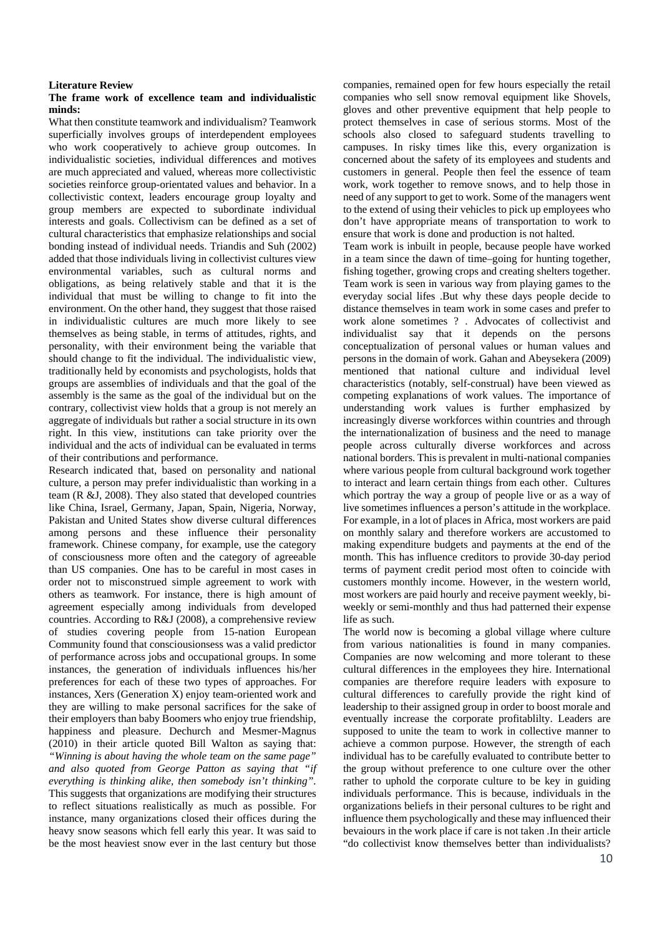### **Literature Review**

#### **The frame work of excellence team and individualistic minds:**

What then constitute teamwork and individualism? Teamwork superficially involves groups of interdependent employees who work cooperatively to achieve group outcomes. In individualistic societies, individual differences and motives are much appreciated and valued, whereas more collectivistic societies reinforce group-orientated values and behavior. In a collectivistic context, leaders encourage group loyalty and group members are expected to subordinate individual interests and goals. Collectivism can be defined as a set of cultural characteristics that emphasize relationships and social bonding instead of individual needs. Triandis and Suh (2002) added that those individuals living in collectivist cultures view environmental variables, such as cultural norms and obligations, as being relatively stable and that it is the individual that must be willing to change to fit into the environment. On the other hand, they suggest that those raised in individualistic cultures are much more likely to see themselves as being stable, in terms of attitudes, rights, and personality, with their environment being the variable that should change to fit the individual. The individualistic view, traditionally held by economists and psychologists, holds that groups are assemblies of individuals and that the goal of the assembly is the same as the goal of the individual but on the contrary, collectivist view holds that a group is not merely an aggregate of individuals but rather a social structure in its own right. In this view, institutions can take priority over the individual and the acts of individual can be evaluated in terms of their contributions and performance.

Research indicated that, based on personality and national culture, a person may prefer individualistic than working in a team (R &J, 2008). They also stated that developed countries like China, Israel, Germany, Japan, Spain, Nigeria, Norway, Pakistan and United States show diverse cultural differences among persons and these influence their personality framework. Chinese company, for example, use the category of consciousness more often and the category of agreeable than US companies. One has to be careful in most cases in order not to misconstrued simple agreement to work with others as teamwork. For instance, there is high amount of agreement especially among individuals from developed countries. According to R&J (2008), a comprehensive review of studies covering people from 15-nation European Community found that consciousionsess was a valid predictor of performance across jobs and occupational groups. In some instances, the generation of individuals influences his/her preferences for each of these two types of approaches. For instances, Xers (Generation X) enjoy team-oriented work and they are willing to make personal sacrifices for the sake of their employers than baby Boomers who enjoy true friendship, happiness and pleasure. Dechurch and Mesmer-Magnus (2010) in their article quoted Bill Walton as saying that: *"Winning is about having the whole team on the same page" and also quoted from George Patton as saying that "if everything is thinking alike, then somebody isn't thinking".*  This suggests that organizations are modifying their structures to reflect situations realistically as much as possible. For instance, many organizations closed their offices during the heavy snow seasons which fell early this year. It was said to be the most heaviest snow ever in the last century but those

companies, remained open for few hours especially the retail companies who sell snow removal equipment like Shovels, gloves and other preventive equipment that help people to protect themselves in case of serious storms. Most of the schools also closed to safeguard students travelling to campuses. In risky times like this, every organization is concerned about the safety of its employees and students and customers in general. People then feel the essence of team work, work together to remove snows, and to help those in need of any support to get to work. Some of the managers went to the extend of using their vehicles to pick up employees who don't have appropriate means of transportation to work to ensure that work is done and production is not halted.

Team work is inbuilt in people, because people have worked in a team since the dawn of time–going for hunting together, fishing together, growing crops and creating shelters together. Team work is seen in various way from playing games to the everyday social lifes .But why these days people decide to distance themselves in team work in some cases and prefer to work alone sometimes ? . Advocates of collectivist and individualist say that it depends on the persons conceptualization of personal values or human values and persons in the domain of work. Gahan and Abeysekera (2009) mentioned that national culture and individual level characteristics (notably, self-construal) have been viewed as competing explanations of work values. The importance of understanding work values is further emphasized by increasingly diverse workforces within countries and through the internationalization of business and the need to manage people across culturally diverse workforces and across national borders. This is prevalent in multi-national companies where various people from cultural background work together to interact and learn certain things from each other. Cultures which portray the way a group of people live or as a way of live sometimes influences a person's attitude in the workplace. For example, in a lot of places in Africa, most workers are paid on monthly salary and therefore workers are accustomed to making expenditure budgets and payments at the end of the month. This has influence creditors to provide 30-day period terms of payment credit period most often to coincide with customers monthly income. However, in the western world, most workers are paid hourly and receive payment weekly, biweekly or semi-monthly and thus had patterned their expense life as such.

The world now is becoming a global village where culture from various nationalities is found in many companies. Companies are now welcoming and more tolerant to these cultural differences in the employees they hire. International companies are therefore require leaders with exposure to cultural differences to carefully provide the right kind of leadership to their assigned group in order to boost morale and eventually increase the corporate profitablilty. Leaders are supposed to unite the team to work in collective manner to achieve a common purpose. However, the strength of each individual has to be carefully evaluated to contribute better to the group without preference to one culture over the other rather to uphold the corporate culture to be key in guiding individuals performance. This is because, individuals in the organizations beliefs in their personal cultures to be right and influence them psychologically and these may influenced their bevaiours in the work place if care is not taken .In their article "do collectivist know themselves better than individualists?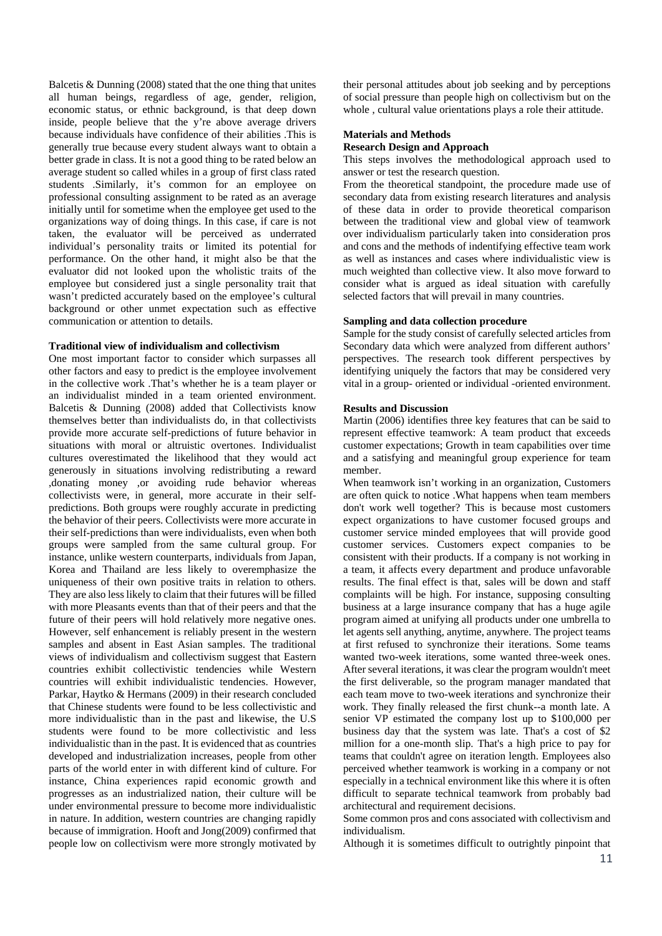Balcetis & Dunning (2008) stated that the one thing that unites all human beings, regardless of age, gender, religion, economic status, or ethnic background, is that deep down inside, people believe that the y're above average drivers because individuals have confidence of their abilities .This is generally true because every student always want to obtain a better grade in class. It is not a good thing to be rated below an average student so called whiles in a group of first class rated students .Similarly, it's common for an employee on professional consulting assignment to be rated as an average initially until for sometime when the employee get used to the organizations way of doing things. In this case, if care is not taken, the evaluator will be perceived as underrated individual's personality traits or limited its potential for performance. On the other hand, it might also be that the evaluator did not looked upon the wholistic traits of the employee but considered just a single personality trait that wasn't predicted accurately based on the employee's cultural background or other unmet expectation such as effective communication or attention to details.

#### **Traditional view of individualism and collectivism**

One most important factor to consider which surpasses all other factors and easy to predict is the employee involvement in the collective work .That's whether he is a team player or an individualist minded in a team oriented environment. Balcetis & Dunning (2008) added that Collectivists know themselves better than individualists do, in that collectivists provide more accurate self-predictions of future behavior in situations with moral or altruistic overtones. Individualist cultures overestimated the likelihood that they would act generously in situations involving redistributing a reward ,donating money ,or avoiding rude behavior whereas collectivists were, in general, more accurate in their selfpredictions. Both groups were roughly accurate in predicting the behavior of their peers. Collectivists were more accurate in their self-predictions than were individualists, even when both groups were sampled from the same cultural group. For instance, unlike western counterparts, individuals from Japan, Korea and Thailand are less likely to overemphasize the uniqueness of their own positive traits in relation to others. They are also less likely to claim that their futures will be filled with more Pleasants events than that of their peers and that the future of their peers will hold relatively more negative ones. However, self enhancement is reliably present in the western samples and absent in East Asian samples. The traditional views of individualism and collectivism suggest that Eastern countries exhibit collectivistic tendencies while Western countries will exhibit individualistic tendencies. However, Parkar, Haytko & Hermans (2009) in their research concluded that Chinese students were found to be less collectivistic and more individualistic than in the past and likewise, the U.S students were found to be more collectivistic and less individualistic than in the past. It is evidenced that as countries developed and industrialization increases, people from other parts of the world enter in with different kind of culture. For instance, China experiences rapid economic growth and progresses as an industrialized nation, their culture will be under environmental pressure to become more individualistic in nature. In addition, western countries are changing rapidly because of immigration. Hooft and Jong(2009) confirmed that people low on collectivism were more strongly motivated by

their personal attitudes about job seeking and by perceptions of social pressure than people high on collectivism but on the whole , cultural value orientations plays a role their attitude.

### **Materials and Methods Research Design and Approach**

This steps involves the methodological approach used to answer or test the research question.

From the theoretical standpoint, the procedure made use of secondary data from existing research literatures and analysis of these data in order to provide theoretical comparison between the traditional view and global view of teamwork over individualism particularly taken into consideration pros and cons and the methods of indentifying effective team work as well as instances and cases where individualistic view is much weighted than collective view. It also move forward to consider what is argued as ideal situation with carefully selected factors that will prevail in many countries.

# **Sampling and data collection procedure**

Sample for the study consist of carefully selected articles from Secondary data which were analyzed from different authors' perspectives. The research took different perspectives by identifying uniquely the factors that may be considered very vital in a group- oriented or individual -oriented environment.

#### **Results and Discussion**

Martin (2006) identifies three key features that can be said to represent effective teamwork: A team product that exceeds customer expectations; Growth in team capabilities over time and a satisfying and meaningful group experience for team member.

When teamwork isn't working in an organization, Customers are often quick to notice .What happens when team members don't work well together? This is because most customers expect organizations to have customer focused groups and customer service minded employees that will provide good customer services. Customers expect companies to be consistent with their products. If a company is not working in a team, it affects every department and produce unfavorable results. The final effect is that, sales will be down and staff complaints will be high. For instance, supposing consulting business at a large insurance company that has a huge agile program aimed at unifying all products under one umbrella to let agents sell anything, anytime, anywhere. The project teams at first refused to synchronize their iterations. Some teams wanted two-week iterations, some wanted three-week ones. After several iterations, it was clear the program wouldn't meet the first deliverable, so the program manager mandated that each team move to two-week iterations and synchronize their work. They finally released the first chunk--a month late. A senior VP estimated the company lost up to \$100,000 per business day that the system was late. That's a cost of \$2 million for a one-month slip. That's a high price to pay for teams that couldn't agree on iteration length. Employees also perceived whether teamwork is working in a company or not especially in a technical environment like this where it is often difficult to separate technical teamwork from probably bad architectural and requirement decisions.

Some common pros and cons associated with collectivism and individualism.

Although it is sometimes difficult to outrightly pinpoint that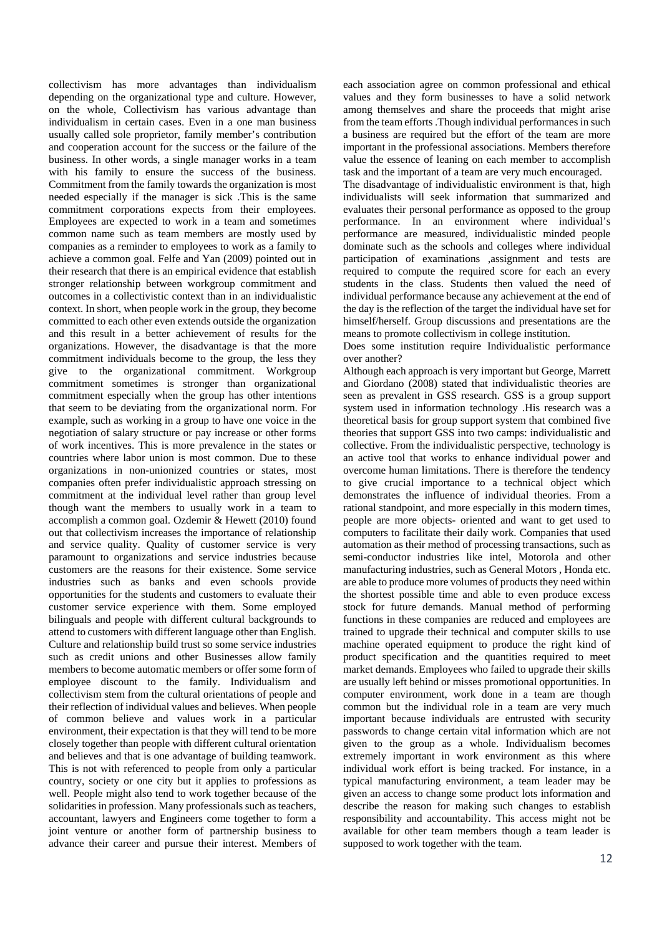collectivism has more advantages than individualism depending on the organizational type and culture. However, on the whole, Collectivism has various advantage than individualism in certain cases. Even in a one man business usually called sole proprietor, family member's contribution and cooperation account for the success or the failure of the business. In other words, a single manager works in a team with his family to ensure the success of the business. Commitment from the family towards the organization is most needed especially if the manager is sick .This is the same commitment corporations expects from their employees. Employees are expected to work in a team and sometimes common name such as team members are mostly used by companies as a reminder to employees to work as a family to achieve a common goal. Felfe and Yan (2009) pointed out in their research that there is an empirical evidence that establish stronger relationship between workgroup commitment and outcomes in a collectivistic context than in an individualistic context. In short, when people work in the group, they become committed to each other even extends outside the organization and this result in a better achievement of results for the organizations. However, the disadvantage is that the more commitment individuals become to the group, the less they give to the organizational commitment. Workgroup commitment sometimes is stronger than organizational commitment especially when the group has other intentions that seem to be deviating from the organizational norm. For example, such as working in a group to have one voice in the negotiation of salary structure or pay increase or other forms of work incentives. This is more prevalence in the states or countries where labor union is most common. Due to these organizations in non-unionized countries or states, most companies often prefer individualistic approach stressing on commitment at the individual level rather than group level though want the members to usually work in a team to accomplish a common goal. Ozdemir & Hewett (2010) found out that collectivism increases the importance of relationship and service quality. Quality of customer service is very paramount to organizations and service industries because customers are the reasons for their existence. Some service industries such as banks and even schools provide opportunities for the students and customers to evaluate their customer service experience with them. Some employed bilinguals and people with different cultural backgrounds to attend to customers with different language other than English. Culture and relationship build trust so some service industries such as credit unions and other Businesses allow family members to become automatic members or offer some form of employee discount to the family. Individualism and collectivism stem from the cultural orientations of people and their reflection of individual values and believes. When people of common believe and values work in a particular environment, their expectation is that they will tend to be more closely together than people with different cultural orientation and believes and that is one advantage of building teamwork. This is not with referenced to people from only a particular country, society or one city but it applies to professions as well. People might also tend to work together because of the solidarities in profession. Many professionals such as teachers, accountant, lawyers and Engineers come together to form a joint venture or another form of partnership business to advance their career and pursue their interest. Members of

each association agree on common professional and ethical values and they form businesses to have a solid network among themselves and share the proceeds that might arise from the team efforts .Though individual performances in such a business are required but the effort of the team are more important in the professional associations. Members therefore value the essence of leaning on each member to accomplish task and the important of a team are very much encouraged.

The disadvantage of individualistic environment is that, high individualists will seek information that summarized and evaluates their personal performance as opposed to the group performance. In an environment where individual's performance are measured, individualistic minded people dominate such as the schools and colleges where individual participation of examinations ,assignment and tests are required to compute the required score for each an every students in the class. Students then valued the need of individual performance because any achievement at the end of the day is the reflection of the target the individual have set for himself/herself. Group discussions and presentations are the means to promote collectivism in college institution.

Does some institution require Individualistic performance over another?

Although each approach is very important but George, Marrett and Giordano (2008) stated that individualistic theories are seen as prevalent in GSS research. GSS is a group support system used in information technology .His research was a theoretical basis for group support system that combined five theories that support GSS into two camps: individualistic and collective. From the individualistic perspective, technology is an active tool that works to enhance individual power and overcome human limitations. There is therefore the tendency to give crucial importance to a technical object which demonstrates the influence of individual theories. From a rational standpoint, and more especially in this modern times, people are more objects- oriented and want to get used to computers to facilitate their daily work. Companies that used automation as their method of processing transactions, such as semi-conductor industries like intel, Motorola and other manufacturing industries, such as General Motors , Honda etc. are able to produce more volumes of products they need within the shortest possible time and able to even produce excess stock for future demands. Manual method of performing functions in these companies are reduced and employees are trained to upgrade their technical and computer skills to use machine operated equipment to produce the right kind of product specification and the quantities required to meet market demands. Employees who failed to upgrade their skills are usually left behind or misses promotional opportunities. In computer environment, work done in a team are though common but the individual role in a team are very much important because individuals are entrusted with security passwords to change certain vital information which are not given to the group as a whole. Individualism becomes extremely important in work environment as this where individual work effort is being tracked. For instance, in a typical manufacturing environment, a team leader may be given an access to change some product lots information and describe the reason for making such changes to establish responsibility and accountability. This access might not be available for other team members though a team leader is supposed to work together with the team.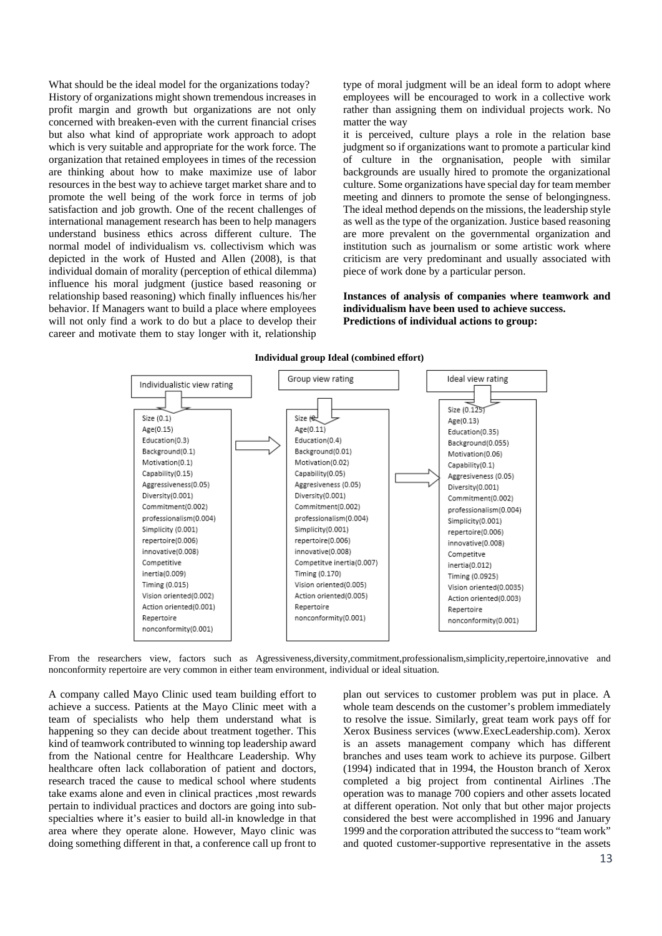What should be the ideal model for the organizations today? History of organizations might shown tremendous increases in profit margin and growth but organizations are not only concerned with breaken-even with the current financial crises but also what kind of appropriate work approach to adopt which is very suitable and appropriate for the work force. The organization that retained employees in times of the recession are thinking about how to make maximize use of labor resources in the best way to achieve target market share and to promote the well being of the work force in terms of job satisfaction and job growth. One of the recent challenges of international management research has been to help managers understand business ethics across different culture. The normal model of individualism vs. collectivism which was depicted in the work of Husted and Allen (2008), is that individual domain of morality (perception of ethical dilemma) influence his moral judgment (justice based reasoning or relationship based reasoning) which finally influences his/her behavior. If Managers want to build a place where employees will not only find a work to do but a place to develop their career and motivate them to stay longer with it, relationship

type of moral judgment will be an ideal form to adopt where employees will be encouraged to work in a collective work rather than assigning them on individual projects work. No matter the way

it is perceived, culture plays a role in the relation base judgment so if organizations want to promote a particular kind of culture in the orgnanisation, people with similar backgrounds are usually hired to promote the organizational culture. Some organizations have special day for team member meeting and dinners to promote the sense of belongingness. The ideal method depends on the missions, the leadership style as well as the type of the organization. Justice based reasoning are more prevalent on the governmental organization and institution such as journalism or some artistic work where criticism are very predominant and usually associated with piece of work done by a particular person.

**Instances of analysis of companies where teamwork and individualism have been used to achieve success. Predictions of individual actions to group:**



From the researchers view, factors such as Agressiveness,diversity,commitment,professionalism,simplicity,repertoire,innovative and nonconformity repertoire are very common in either team environment, individual or ideal situation.

A company called Mayo Clinic used team building effort to achieve a success. Patients at the Mayo Clinic meet with a team of specialists who help them understand what is happening so they can decide about treatment together. This kind of teamwork contributed to winning top leadership award from the National centre for Healthcare Leadership. Why healthcare often lack collaboration of patient and doctors, research traced the cause to medical school where students take exams alone and even in clinical practices ,most rewards pertain to individual practices and doctors are going into subspecialties where it's easier to build all-in knowledge in that area where they operate alone. However, Mayo clinic was doing something different in that, a conference call up front to

plan out services to customer problem was put in place. A whole team descends on the customer's problem immediately to resolve the issue. Similarly, great team work pays off for Xerox Business services (www.ExecLeadership.com). Xerox is an assets management company which has different branches and uses team work to achieve its purpose. Gilbert (1994) indicated that in 1994, the Houston branch of Xerox completed a big project from continental Airlines .The operation was to manage 700 copiers and other assets located at different operation. Not only that but other major projects considered the best were accomplished in 1996 and January 1999 and the corporation attributed the success to "team work" and quoted customer-supportive representative in the assets